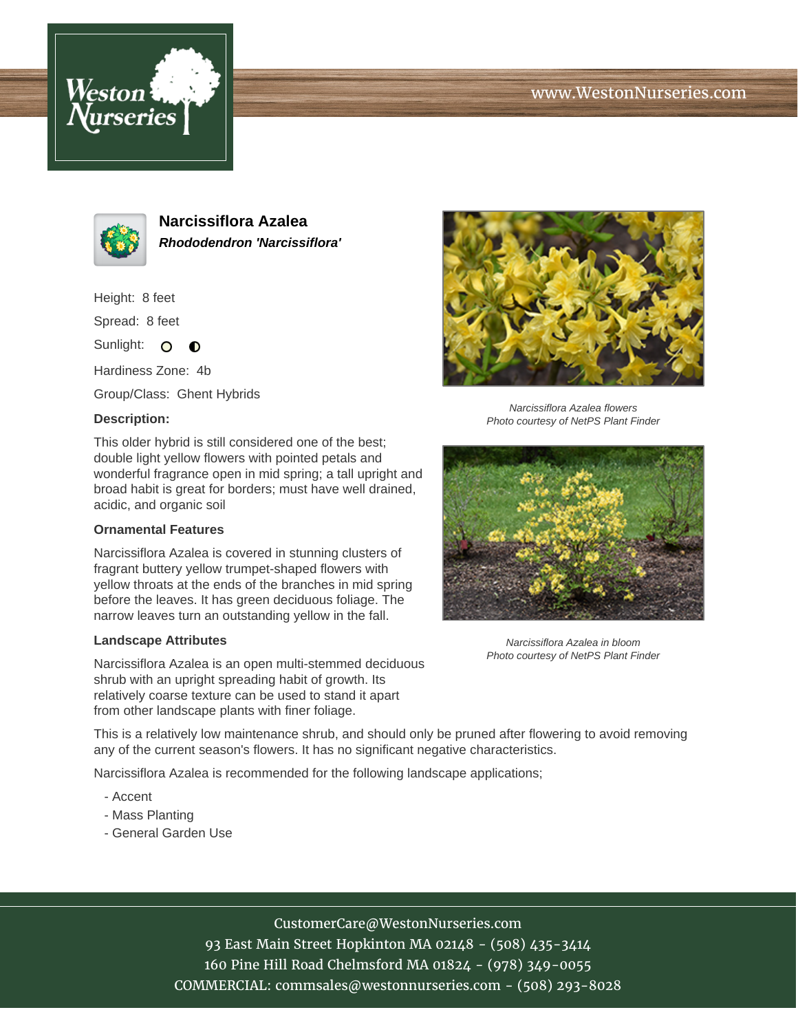





**Narcissiflora Azalea Rhododendron 'Narcissiflora'**

Height: 8 feet

Spread: 8 feet

Sunlight: O  $\bullet$ 

Hardiness Zone: 4b

Group/Class: Ghent Hybrids

### **Description:**

This older hybrid is still considered one of the best; double light yellow flowers with pointed petals and wonderful fragrance open in mid spring; a tall upright and broad habit is great for borders; must have well drained, acidic, and organic soil

#### **Ornamental Features**

Narcissiflora Azalea is covered in stunning clusters of fragrant buttery yellow trumpet-shaped flowers with yellow throats at the ends of the branches in mid spring before the leaves. It has green deciduous foliage. The narrow leaves turn an outstanding yellow in the fall.

#### **Landscape Attributes**

Narcissiflora Azalea is an open multi-stemmed deciduous shrub with an upright spreading habit of growth. Its relatively coarse texture can be used to stand it apart from other landscape plants with finer foliage.



Narcissiflora Azalea flowers Photo courtesy of NetPS Plant Finder



Narcissiflora Azalea in bloom Photo courtesy of NetPS Plant Finder

This is a relatively low maintenance shrub, and should only be pruned after flowering to avoid removing any of the current season's flowers. It has no significant negative characteristics.

Narcissiflora Azalea is recommended for the following landscape applications;

- Accent
- Mass Planting
- General Garden Use

# CustomerCare@WestonNurseries.com

93 East Main Street Hopkinton MA 02148 - (508) 435-3414 160 Pine Hill Road Chelmsford MA 01824 - (978) 349-0055 COMMERCIAL: commsales@westonnurseries.com - (508) 293-8028